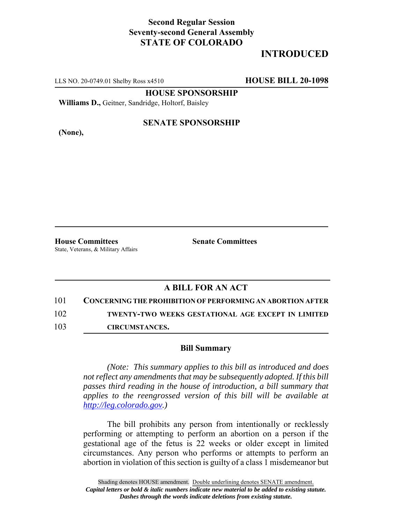## **Second Regular Session Seventy-second General Assembly STATE OF COLORADO**

# **INTRODUCED**

LLS NO. 20-0749.01 Shelby Ross x4510 **HOUSE BILL 20-1098**

**HOUSE SPONSORSHIP**

**Williams D.,** Geitner, Sandridge, Holtorf, Baisley

**(None),**

#### **SENATE SPONSORSHIP**

**House Committees Senate Committees** State, Veterans, & Military Affairs

### **A BILL FOR AN ACT**

101 **CONCERNING THE PROHIBITION OF PERFORMING AN ABORTION AFTER**

102 **TWENTY-TWO WEEKS GESTATIONAL AGE EXCEPT IN LIMITED**

103 **CIRCUMSTANCES.**

#### **Bill Summary**

*(Note: This summary applies to this bill as introduced and does not reflect any amendments that may be subsequently adopted. If this bill passes third reading in the house of introduction, a bill summary that applies to the reengrossed version of this bill will be available at http://leg.colorado.gov.)*

The bill prohibits any person from intentionally or recklessly performing or attempting to perform an abortion on a person if the gestational age of the fetus is 22 weeks or older except in limited circumstances. Any person who performs or attempts to perform an abortion in violation of this section is guilty of a class 1 misdemeanor but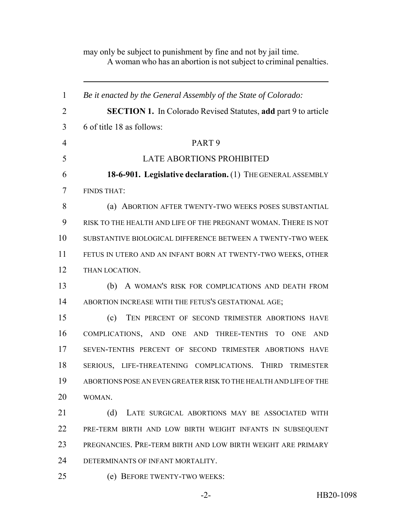A woman who has an abortion is not subject to criminal penalties. *Be it enacted by the General Assembly of the State of Colorado:* **SECTION 1.** In Colorado Revised Statutes, **add** part 9 to article 6 of title 18 as follows: PART 9 LATE ABORTIONS PROHIBITED **18-6-901. Legislative declaration.** (1) THE GENERAL ASSEMBLY FINDS THAT: 8 (a) ABORTION AFTER TWENTY-TWO WEEKS POSES SUBSTANTIAL RISK TO THE HEALTH AND LIFE OF THE PREGNANT WOMAN. THERE IS NOT SUBSTANTIVE BIOLOGICAL DIFFERENCE BETWEEN A TWENTY-TWO WEEK FETUS IN UTERO AND AN INFANT BORN AT TWENTY-TWO WEEKS, OTHER THAN LOCATION. (b) A WOMAN'S RISK FOR COMPLICATIONS AND DEATH FROM ABORTION INCREASE WITH THE FETUS'S GESTATIONAL AGE; (c) TEN PERCENT OF SECOND TRIMESTER ABORTIONS HAVE COMPLICATIONS, AND ONE AND THREE-TENTHS TO ONE AND SEVEN-TENTHS PERCENT OF SECOND TRIMESTER ABORTIONS HAVE SERIOUS, LIFE-THREATENING COMPLICATIONS. THIRD TRIMESTER ABORTIONS POSE AN EVEN GREATER RISK TO THE HEALTH AND LIFE OF THE WOMAN. 21 (d) LATE SURGICAL ABORTIONS MAY BE ASSOCIATED WITH PRE-TERM BIRTH AND LOW BIRTH WEIGHT INFANTS IN SUBSEQUENT PREGNANCIES. PRE-TERM BIRTH AND LOW BIRTH WEIGHT ARE PRIMARY DETERMINANTS OF INFANT MORTALITY. (e) BEFORE TWENTY-TWO WEEKS:

may only be subject to punishment by fine and not by jail time.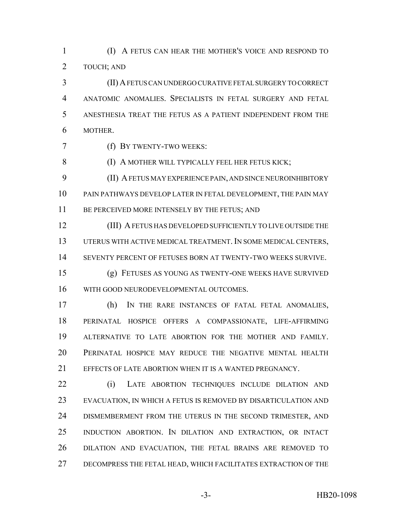(I) A FETUS CAN HEAR THE MOTHER'S VOICE AND RESPOND TO TOUCH; AND

 (II) A FETUS CAN UNDERGO CURATIVE FETAL SURGERY TO CORRECT ANATOMIC ANOMALIES. SPECIALISTS IN FETAL SURGERY AND FETAL ANESTHESIA TREAT THE FETUS AS A PATIENT INDEPENDENT FROM THE MOTHER.

(f) BY TWENTY-TWO WEEKS:

8 (I) A MOTHER WILL TYPICALLY FEEL HER FETUS KICK;

 (II) A FETUS MAY EXPERIENCE PAIN, AND SINCE NEUROINHIBITORY PAIN PATHWAYS DEVELOP LATER IN FETAL DEVELOPMENT, THE PAIN MAY 11 BE PERCEIVED MORE INTENSELY BY THE FETUS; AND

 (III) A FETUS HAS DEVELOPED SUFFICIENTLY TO LIVE OUTSIDE THE UTERUS WITH ACTIVE MEDICAL TREATMENT. IN SOME MEDICAL CENTERS, SEVENTY PERCENT OF FETUSES BORN AT TWENTY-TWO WEEKS SURVIVE.

 (g) FETUSES AS YOUNG AS TWENTY-ONE WEEKS HAVE SURVIVED WITH GOOD NEURODEVELOPMENTAL OUTCOMES.

 (h) IN THE RARE INSTANCES OF FATAL FETAL ANOMALIES, PERINATAL HOSPICE OFFERS A COMPASSIONATE, LIFE-AFFIRMING ALTERNATIVE TO LATE ABORTION FOR THE MOTHER AND FAMILY. PERINATAL HOSPICE MAY REDUCE THE NEGATIVE MENTAL HEALTH EFFECTS OF LATE ABORTION WHEN IT IS A WANTED PREGNANCY.

 (i) LATE ABORTION TECHNIQUES INCLUDE DILATION AND EVACUATION, IN WHICH A FETUS IS REMOVED BY DISARTICULATION AND DISMEMBERMENT FROM THE UTERUS IN THE SECOND TRIMESTER, AND INDUCTION ABORTION. IN DILATION AND EXTRACTION, OR INTACT DILATION AND EVACUATION, THE FETAL BRAINS ARE REMOVED TO DECOMPRESS THE FETAL HEAD, WHICH FACILITATES EXTRACTION OF THE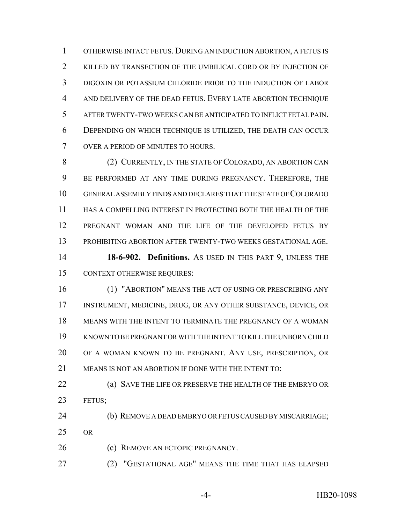OTHERWISE INTACT FETUS. DURING AN INDUCTION ABORTION, A FETUS IS KILLED BY TRANSECTION OF THE UMBILICAL CORD OR BY INJECTION OF DIGOXIN OR POTASSIUM CHLORIDE PRIOR TO THE INDUCTION OF LABOR AND DELIVERY OF THE DEAD FETUS. EVERY LATE ABORTION TECHNIQUE AFTER TWENTY-TWO WEEKS CAN BE ANTICIPATED TO INFLICT FETAL PAIN. DEPENDING ON WHICH TECHNIQUE IS UTILIZED, THE DEATH CAN OCCUR OVER A PERIOD OF MINUTES TO HOURS.

8 (2) CURRENTLY, IN THE STATE OF COLORADO, AN ABORTION CAN BE PERFORMED AT ANY TIME DURING PREGNANCY. THEREFORE, THE GENERAL ASSEMBLY FINDS AND DECLARES THAT THE STATE OF COLORADO HAS A COMPELLING INTEREST IN PROTECTING BOTH THE HEALTH OF THE PREGNANT WOMAN AND THE LIFE OF THE DEVELOPED FETUS BY PROHIBITING ABORTION AFTER TWENTY-TWO WEEKS GESTATIONAL AGE. **18-6-902. Definitions.** AS USED IN THIS PART 9, UNLESS THE

CONTEXT OTHERWISE REQUIRES:

 (1) "ABORTION" MEANS THE ACT OF USING OR PRESCRIBING ANY INSTRUMENT, MEDICINE, DRUG, OR ANY OTHER SUBSTANCE, DEVICE, OR MEANS WITH THE INTENT TO TERMINATE THE PREGNANCY OF A WOMAN KNOWN TO BE PREGNANT OR WITH THE INTENT TO KILL THE UNBORN CHILD OF A WOMAN KNOWN TO BE PREGNANT. ANY USE, PRESCRIPTION, OR MEANS IS NOT AN ABORTION IF DONE WITH THE INTENT TO:

 (a) SAVE THE LIFE OR PRESERVE THE HEALTH OF THE EMBRYO OR FETUS;

 (b) REMOVE A DEAD EMBRYO OR FETUS CAUSED BY MISCARRIAGE;  $25 \quad \text{OR}$ 

(c) REMOVE AN ECTOPIC PREGNANCY.

(2) "GESTATIONAL AGE" MEANS THE TIME THAT HAS ELAPSED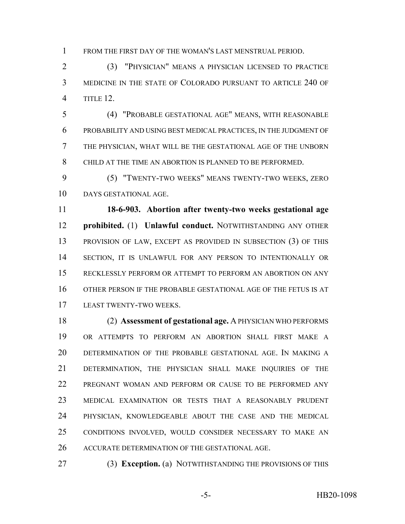FROM THE FIRST DAY OF THE WOMAN'S LAST MENSTRUAL PERIOD.

 (3) "PHYSICIAN" MEANS A PHYSICIAN LICENSED TO PRACTICE MEDICINE IN THE STATE OF COLORADO PURSUANT TO ARTICLE 240 OF TITLE 12.

 (4) "PROBABLE GESTATIONAL AGE" MEANS, WITH REASONABLE PROBABILITY AND USING BEST MEDICAL PRACTICES, IN THE JUDGMENT OF THE PHYSICIAN, WHAT WILL BE THE GESTATIONAL AGE OF THE UNBORN CHILD AT THE TIME AN ABORTION IS PLANNED TO BE PERFORMED.

 (5) "TWENTY-TWO WEEKS" MEANS TWENTY-TWO WEEKS, ZERO DAYS GESTATIONAL AGE.

 **18-6-903. Abortion after twenty-two weeks gestational age prohibited.** (1) **Unlawful conduct.** NOTWITHSTANDING ANY OTHER PROVISION OF LAW, EXCEPT AS PROVIDED IN SUBSECTION (3) OF THIS SECTION, IT IS UNLAWFUL FOR ANY PERSON TO INTENTIONALLY OR RECKLESSLY PERFORM OR ATTEMPT TO PERFORM AN ABORTION ON ANY OTHER PERSON IF THE PROBABLE GESTATIONAL AGE OF THE FETUS IS AT LEAST TWENTY-TWO WEEKS.

 (2) **Assessment of gestational age.** A PHYSICIAN WHO PERFORMS OR ATTEMPTS TO PERFORM AN ABORTION SHALL FIRST MAKE A DETERMINATION OF THE PROBABLE GESTATIONAL AGE. IN MAKING A DETERMINATION, THE PHYSICIAN SHALL MAKE INQUIRIES OF THE PREGNANT WOMAN AND PERFORM OR CAUSE TO BE PERFORMED ANY MEDICAL EXAMINATION OR TESTS THAT A REASONABLY PRUDENT PHYSICIAN, KNOWLEDGEABLE ABOUT THE CASE AND THE MEDICAL CONDITIONS INVOLVED, WOULD CONSIDER NECESSARY TO MAKE AN ACCURATE DETERMINATION OF THE GESTATIONAL AGE.

(3) **Exception.** (a) NOTWITHSTANDING THE PROVISIONS OF THIS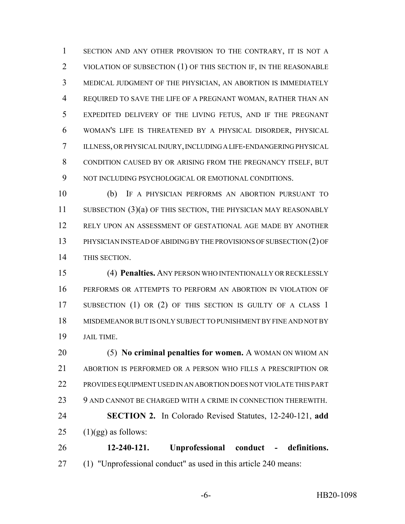SECTION AND ANY OTHER PROVISION TO THE CONTRARY, IT IS NOT A 2 VIOLATION OF SUBSECTION (1) OF THIS SECTION IF, IN THE REASONABLE MEDICAL JUDGMENT OF THE PHYSICIAN, AN ABORTION IS IMMEDIATELY REQUIRED TO SAVE THE LIFE OF A PREGNANT WOMAN, RATHER THAN AN EXPEDITED DELIVERY OF THE LIVING FETUS, AND IF THE PREGNANT WOMAN'S LIFE IS THREATENED BY A PHYSICAL DISORDER, PHYSICAL ILLNESS, OR PHYSICAL INJURY, INCLUDING A LIFE-ENDANGERING PHYSICAL CONDITION CAUSED BY OR ARISING FROM THE PREGNANCY ITSELF, BUT 9 NOT INCLUDING PSYCHOLOGICAL OR EMOTIONAL CONDITIONS.

 (b) IF A PHYSICIAN PERFORMS AN ABORTION PURSUANT TO 11 SUBSECTION (3)(a) OF THIS SECTION, THE PHYSICIAN MAY REASONABLY RELY UPON AN ASSESSMENT OF GESTATIONAL AGE MADE BY ANOTHER PHYSICIAN INSTEAD OF ABIDING BY THE PROVISIONS OF SUBSECTION (2) OF THIS SECTION.

 (4) **Penalties.** ANY PERSON WHO INTENTIONALLY OR RECKLESSLY PERFORMS OR ATTEMPTS TO PERFORM AN ABORTION IN VIOLATION OF 17 SUBSECTION (1) OR (2) OF THIS SECTION IS GUILTY OF A CLASS 1 MISDEMEANOR BUT IS ONLY SUBJECT TO PUNISHMENT BY FINE AND NOT BY JAIL TIME.

 (5) **No criminal penalties for women.** A WOMAN ON WHOM AN ABORTION IS PERFORMED OR A PERSON WHO FILLS A PRESCRIPTION OR PROVIDES EQUIPMENT USED IN AN ABORTION DOES NOT VIOLATE THIS PART 23 9 AND CANNOT BE CHARGED WITH A CRIME IN CONNECTION THEREWITH. **SECTION 2.** In Colorado Revised Statutes, 12-240-121, **add**  $(1)(gg)$  as follows: **12-240-121. Unprofessional conduct - definitions.**

(1) "Unprofessional conduct" as used in this article 240 means: